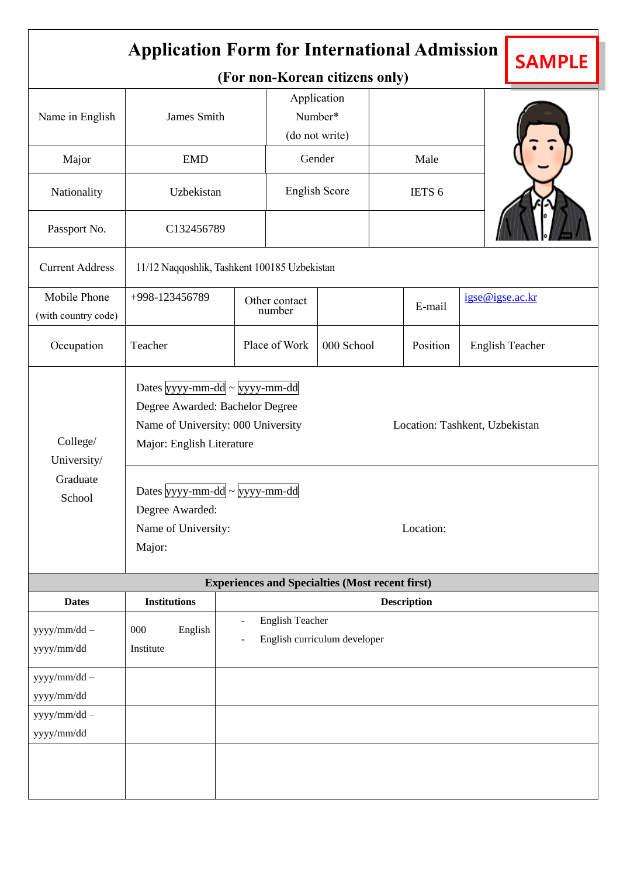| <b>Application Form for International Admission</b><br><b>SAMPLE</b> |                                                                                                                                                                                                                                                                                                     |                                                                                                |                                                                            |                                                        |        |                           |                        |  |  |
|----------------------------------------------------------------------|-----------------------------------------------------------------------------------------------------------------------------------------------------------------------------------------------------------------------------------------------------------------------------------------------------|------------------------------------------------------------------------------------------------|----------------------------------------------------------------------------|--------------------------------------------------------|--------|---------------------------|------------------------|--|--|
| Name in English                                                      | James Smith                                                                                                                                                                                                                                                                                         |                                                                                                | (For non-Korean citizens only)<br>Application<br>Number*<br>(do not write) |                                                        |        |                           |                        |  |  |
| Major                                                                | <b>EMD</b>                                                                                                                                                                                                                                                                                          |                                                                                                | Gender                                                                     |                                                        | Male   |                           |                        |  |  |
| Nationality                                                          | Uzbekistan                                                                                                                                                                                                                                                                                          |                                                                                                | <b>English Score</b>                                                       |                                                        | IETS 6 |                           |                        |  |  |
| Passport No.                                                         |                                                                                                                                                                                                                                                                                                     | C132456789                                                                                     |                                                                            |                                                        |        |                           |                        |  |  |
| <b>Current Address</b>                                               | 11/12 Naqqoshlik, Tashkent 100185 Uzbekistan                                                                                                                                                                                                                                                        |                                                                                                |                                                                            |                                                        |        |                           |                        |  |  |
| Mobile Phone<br>(with country code)                                  | +998-123456789                                                                                                                                                                                                                                                                                      |                                                                                                | Other contact<br>number                                                    |                                                        |        | igse@igse.ac.kr<br>E-mail |                        |  |  |
| Occupation                                                           | Teacher                                                                                                                                                                                                                                                                                             |                                                                                                | Place of Work                                                              | 000 School                                             |        | Position                  | <b>English Teacher</b> |  |  |
| College/<br>University/<br>Graduate<br>School                        | Dates $\frac{1}{2}$ yyyy-mm-dd ~ $\frac{1}{2}$ yyyy-mm-dd<br>Degree Awarded: Bachelor Degree<br>Name of University: 000 University<br>Location: Tashkent, Uzbekistan<br>Major: English Literature<br>Dates yyyy-mm-dd ~ yyyy-mm-dd<br>Degree Awarded:<br>Location:<br>Name of University:<br>Major: |                                                                                                |                                                                            |                                                        |        |                           |                        |  |  |
|                                                                      |                                                                                                                                                                                                                                                                                                     |                                                                                                |                                                                            | <b>Experiences and Specialties (Most recent first)</b> |        |                           |                        |  |  |
| <b>Dates</b><br>yyyy/mm/dd -<br>yyyy/mm/dd                           | <b>Institutions</b><br>English<br>000<br>Institute                                                                                                                                                                                                                                                  | <b>Description</b><br><b>English Teacher</b><br>English curriculum developer<br>$\overline{a}$ |                                                                            |                                                        |        |                           |                        |  |  |
| yyyy/mm/dd -<br>$\,$ yyyy/mm/dd<br>yyyy/mm/dd -<br>$\,$ yyyy/mm/dd   |                                                                                                                                                                                                                                                                                                     |                                                                                                |                                                                            |                                                        |        |                           |                        |  |  |
|                                                                      |                                                                                                                                                                                                                                                                                                     |                                                                                                |                                                                            |                                                        |        |                           |                        |  |  |